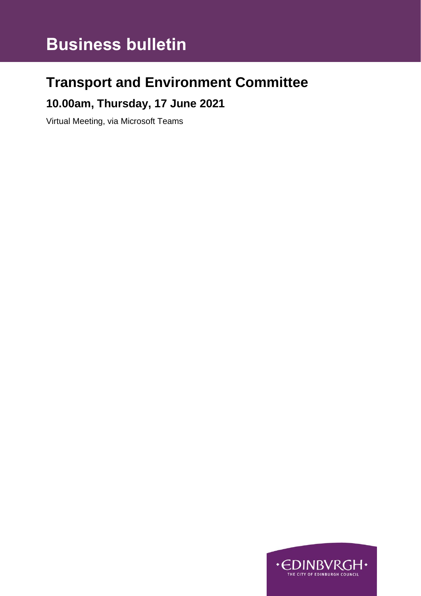# **Business bulletin**

## **Transport and Environment Committee**

### **10.00am, Thursday, 17 June 2021**

Virtual Meeting, via Microsoft Teams

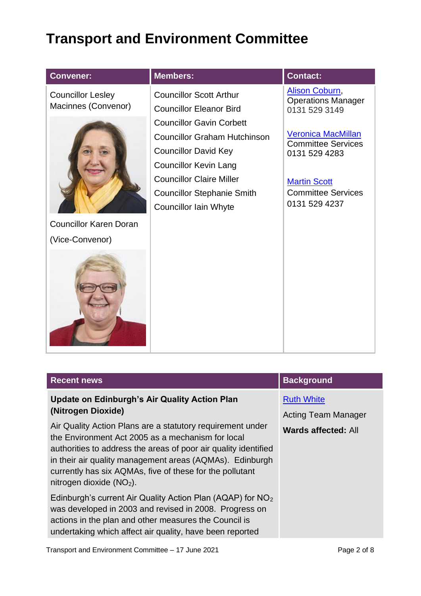## **Transport and Environment Committee**

| <b>Convener:</b>                                | <b>Members:</b>                                                                                                                                                                                                                        | <b>Contact:</b>                                                                                                                              |
|-------------------------------------------------|----------------------------------------------------------------------------------------------------------------------------------------------------------------------------------------------------------------------------------------|----------------------------------------------------------------------------------------------------------------------------------------------|
| <b>Councillor Lesley</b><br>Macinnes (Convenor) | <b>Councillor Scott Arthur</b><br><b>Councillor Eleanor Bird</b>                                                                                                                                                                       | <b>Alison Coburn,</b><br><b>Operations Manager</b><br>0131 529 3149                                                                          |
|                                                 | <b>Councillor Gavin Corbett</b><br><b>Councillor Graham Hutchinson</b><br><b>Councillor David Key</b><br><b>Councillor Kevin Lang</b><br><b>Councillor Claire Miller</b><br><b>Councillor Stephanie Smith</b><br>Councillor Iain Whyte | <b>Veronica MacMillan</b><br><b>Committee Services</b><br>0131 529 4283<br><b>Martin Scott</b><br><b>Committee Services</b><br>0131 529 4237 |
| <b>Councillor Karen Doran</b>                   |                                                                                                                                                                                                                                        |                                                                                                                                              |
| (Vice-Convenor)                                 |                                                                                                                                                                                                                                        |                                                                                                                                              |
|                                                 |                                                                                                                                                                                                                                        |                                                                                                                                              |

| <b>Recent news</b>                                                                                                                                                                                                                                                                                                                                                                                                     | <b>Background</b>                                                             |
|------------------------------------------------------------------------------------------------------------------------------------------------------------------------------------------------------------------------------------------------------------------------------------------------------------------------------------------------------------------------------------------------------------------------|-------------------------------------------------------------------------------|
| <b>Update on Edinburgh's Air Quality Action Plan</b><br>(Nitrogen Dioxide)<br>Air Quality Action Plans are a statutory requirement under<br>the Environment Act 2005 as a mechanism for local<br>authorities to address the areas of poor air quality identified<br>in their air quality management areas (AQMAs). Edinburgh<br>currently has six AQMAs, five of these for the pollutant<br>nitrogen dioxide $(NO2)$ . | <b>Ruth White</b><br><b>Acting Team Manager</b><br><b>Wards affected: All</b> |
| Edinburgh's current Air Quality Action Plan (AQAP) for NO <sub>2</sub><br>was developed in 2003 and revised in 2008. Progress on<br>actions in the plan and other measures the Council is<br>undertaking which affect air quality, have been reported                                                                                                                                                                  |                                                                               |
| Transport and Environment Committee - 17 June 2021                                                                                                                                                                                                                                                                                                                                                                     | Page 2 of 8                                                                   |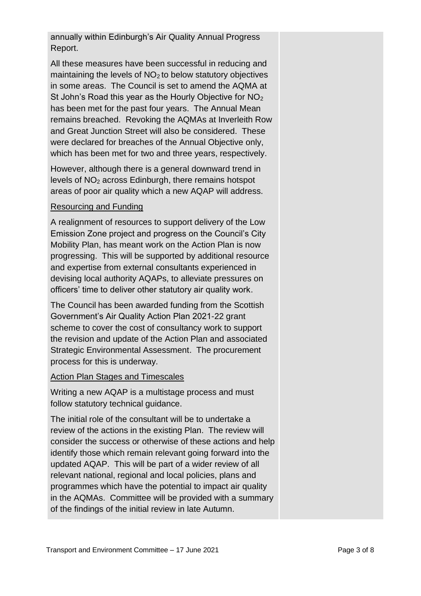annually within Edinburgh's Air Quality Annual Progress Report.

All these measures have been successful in reducing and maintaining the levels of  $NO<sub>2</sub>$  to below statutory objectives in some areas. The Council is set to amend the AQMA at St John's Road this year as the Hourly Objective for  $NO<sub>2</sub>$ has been met for the past four years. The Annual Mean remains breached. Revoking the AQMAs at Inverleith Row and Great Junction Street will also be considered. These were declared for breaches of the Annual Objective only, which has been met for two and three years, respectively.

However, although there is a general downward trend in levels of NO<sup>2</sup> across Edinburgh, there remains hotspot areas of poor air quality which a new AQAP will address.

#### Resourcing and Funding

A realignment of resources to support delivery of the Low Emission Zone project and progress on the Council's City Mobility Plan, has meant work on the Action Plan is now progressing. This will be supported by additional resource and expertise from external consultants experienced in devising local authority AQAPs, to alleviate pressures on officers' time to deliver other statutory air quality work.

The Council has been awarded funding from the Scottish Government's Air Quality Action Plan 2021-22 grant scheme to cover the cost of consultancy work to support the revision and update of the Action Plan and associated Strategic Environmental Assessment. The procurement process for this is underway.

#### Action Plan Stages and Timescales

Writing a new AQAP is a multistage process and must follow statutory technical guidance.

The initial role of the consultant will be to undertake a review of the actions in the existing Plan. The review will consider the success or otherwise of these actions and help identify those which remain relevant going forward into the updated AQAP. This will be part of a wider review of all relevant national, regional and local policies, plans and programmes which have the potential to impact air quality in the AQMAs. Committee will be provided with a summary of the findings of the initial review in late Autumn.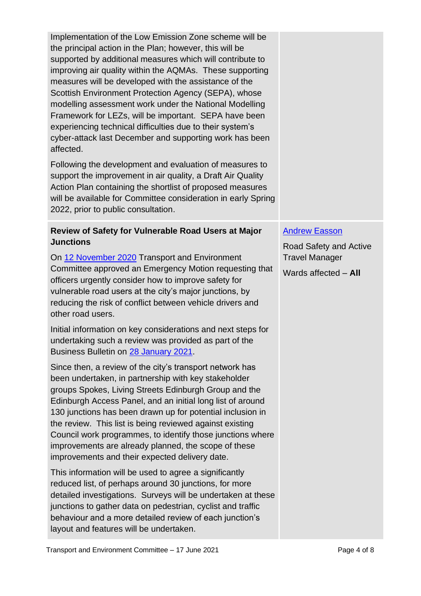Implementation of the Low Emission Zone scheme will be the principal action in the Plan; however, this will be supported by additional measures which will contribute to improving air quality within the AQMAs. These supporting measures will be developed with the assistance of the Scottish Environment Protection Agency (SEPA), whose modelling assessment work under the National Modelling Framework for LEZs, will be important. SEPA have been experiencing technical difficulties due to their system's cyber-attack last December and supporting work has been affected.

Following the development and evaluation of measures to support the improvement in air quality, a Draft Air Quality Action Plan containing the shortlist of proposed measures will be available for Committee consideration in early Spring 2022, prior to public consultation.

#### **Review of Safety for Vulnerable Road Users at Major Junctions**

On [12 November 2020](https://democracy.edinburgh.gov.uk/documents/s30768/Item%204.1%20-%20Minute%2012.11.20.pdf) Transport and Environment Committee approved an Emergency Motion requesting that officers urgently consider how to improve safety for vulnerable road users at the city's major junctions, by reducing the risk of conflict between vehicle drivers and other road users.

Initial information on key considerations and next steps for undertaking such a review was provided as part of the Business Bulletin on [28 January 2021.](https://democracy.edinburgh.gov.uk/documents/s30808/Item%206.1%20-%20Draft%20TEC%20business%20bulletin%20-%20JAN%202021_Late%20Changes.pdf)

Since then, a review of the city's transport network has been undertaken, in partnership with key stakeholder groups Spokes, Living Streets Edinburgh Group and the Edinburgh Access Panel, and an initial long list of around 130 junctions has been drawn up for potential inclusion in the review. This list is being reviewed against existing Council work programmes, to identify those junctions where improvements are already planned, the scope of these improvements and their expected delivery date.

This information will be used to agree a significantly reduced list, of perhaps around 30 junctions, for more detailed investigations. Surveys will be undertaken at these junctions to gather data on pedestrian, cyclist and traffic behaviour and a more detailed review of each junction's layout and features will be undertaken.

#### [Andrew Easson](mailto:Andrew.easson@edinburgh.gov.uk)

Road Safety and Active Travel Manager

Wards affected – **All**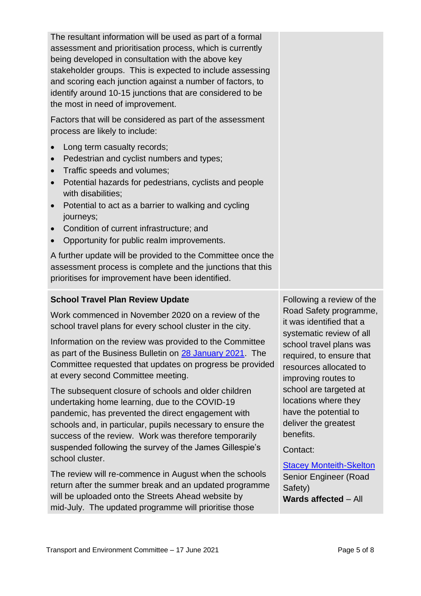The resultant information will be used as part of a formal assessment and prioritisation process, which is currently being developed in consultation with the above key stakeholder groups. This is expected to include assessing and scoring each junction against a number of factors, to identify around 10-15 junctions that are considered to be the most in need of improvement.

Factors that will be considered as part of the assessment process are likely to include:

- Long term casualty records;
- Pedestrian and cyclist numbers and types;
- Traffic speeds and volumes;
- Potential hazards for pedestrians, cyclists and people with disabilities;
- Potential to act as a barrier to walking and cycling journeys;
- Condition of current infrastructure; and
- Opportunity for public realm improvements.

A further update will be provided to the Committee once the assessment process is complete and the junctions that this prioritises for improvement have been identified.

#### **School Travel Plan Review Update**

Work commenced in November 2020 on a review of the school travel plans for every school cluster in the city.

Information on the review was provided to the Committee as part of the Business Bulletin on [28 January 2021.](https://democracy.edinburgh.gov.uk/documents/s30808/Item%206.1%20-%20Draft%20TEC%20business%20bulletin%20-%20JAN%202021_Late%20Changes.pdf) The Committee requested that updates on progress be provided at every second Committee meeting.

The subsequent closure of schools and older children undertaking home learning, due to the COVID-19 pandemic, has prevented the direct engagement with schools and, in particular, pupils necessary to ensure the success of the review. Work was therefore temporarily suspended following the survey of the James Gillespie's school cluster.

The review will re-commence in August when the schools return after the summer break and an updated programme will be uploaded onto the Streets Ahead website by mid-July. The updated programme will prioritise those

Following a review of the Road Safety programme, it was identified that a systematic review of all school travel plans was required, to ensure that resources allocated to improving routes to school are targeted at locations where they have the potential to deliver the greatest benefits.

Contact:

[Stacey Monteith-Skelton](mailto:stacey.monteith-skelton@edinburgh.gov.uk) Senior Engineer (Road Safety) **Wards affected** – All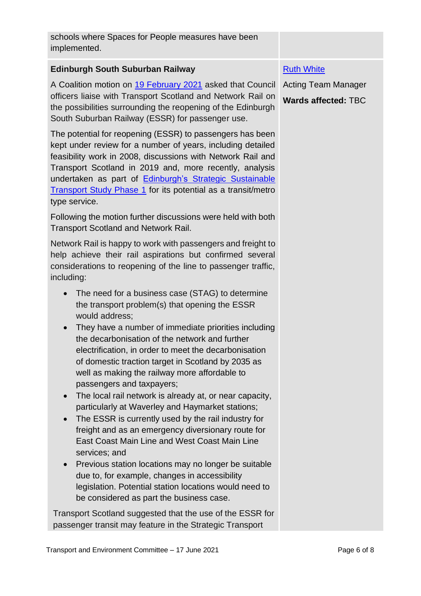schools where Spaces for People measures have been implemented.

#### **Edinburgh South Suburban Railway**

A Coalition motion on [19 February 2021](https://democracy.edinburgh.gov.uk/documents/b18024/Motions%20and%20Amendments%2019th-Feb-2021%2014.00%20Transport%20and%20Environment%20Committee.pdf?T=9) asked that Council officers liaise with Transport Scotland and Network Rail on the possibilities surrounding the reopening of the Edinburgh South Suburban Railway (ESSR) for passenger use.

The potential for reopening (ESSR) to passengers has been kept under review for a number of years, including detailed feasibility work in 2008, discussions with Network Rail and Transport Scotland in 2019 and, more recently, analysis undertaken as part of [Edinburgh's Strategic Sustainable](https://www.edinburgh.gov.uk/downloads/file/26872/edinburgh-strategic-sustainable-transport-study)  [Transport Study Phase 1](https://www.edinburgh.gov.uk/downloads/file/26872/edinburgh-strategic-sustainable-transport-study) for its potential as a transit/metro type service.

Following the motion further discussions were held with both Transport Scotland and Network Rail.

Network Rail is happy to work with passengers and freight to help achieve their rail aspirations but confirmed several considerations to reopening of the line to passenger traffic, including:

- The need for a business case (STAG) to determine the transport problem(s) that opening the ESSR would address;
- They have a number of immediate priorities including the decarbonisation of the network and further electrification, in order to meet the decarbonisation of domestic traction target in Scotland by 2035 as well as making the railway more affordable to passengers and taxpayers;
- The local rail network is already at, or near capacity, particularly at Waverley and Haymarket stations;
- The ESSR is currently used by the rail industry for freight and as an emergency diversionary route for East Coast Main Line and West Coast Main Line services; and
- Previous station locations may no longer be suitable due to, for example, changes in accessibility legislation. Potential station locations would need to be considered as part the business case.

Transport Scotland suggested that the use of the ESSR for passenger transit may feature in the Strategic Transport

#### [Ruth White](mailto:ruth.white@edinburgh.gov.uk)

Acting Team Manager **Wards affected:** TBC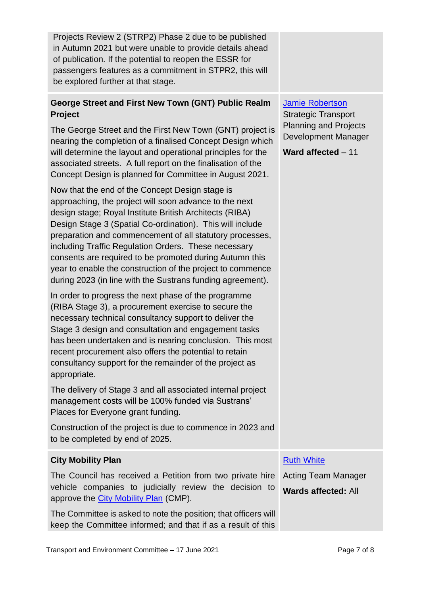| Projects Review 2 (STRP2) Phase 2 due to be published   |  |
|---------------------------------------------------------|--|
| in Autumn 2021 but were unable to provide details ahead |  |
| of publication. If the potential to reopen the ESSR for |  |
| passengers features as a commitment in STPR2, this will |  |
| be explored further at that stage.                      |  |
|                                                         |  |

#### **George Street and First New Town (GNT) Public Realm Project**

The George Street and the First New Town (GNT) project is nearing the completion of a finalised Concept Design which will determine the layout and operational principles for the associated streets. A full report on the finalisation of the Concept Design is planned for Committee in August 2021.

Now that the end of the Concept Design stage is approaching, the project will soon advance to the next design stage; Royal Institute British Architects (RIBA) Design Stage 3 (Spatial Co-ordination). This will include preparation and commencement of all statutory processes, including Traffic Regulation Orders. These necessary consents are required to be promoted during Autumn this year to enable the construction of the project to commence during 2023 (in line with the Sustrans funding agreement).

In order to progress the next phase of the programme (RIBA Stage 3), a procurement exercise to secure the necessary technical consultancy support to deliver the Stage 3 design and consultation and engagement tasks has been undertaken and is nearing conclusion. This most recent procurement also offers the potential to retain consultancy support for the remainder of the project as appropriate.

The delivery of Stage 3 and all associated internal project management costs will be 100% funded via Sustrans' Places for Everyone grant funding.

Construction of the project is due to commence in 2023 and to be completed by end of 2025.

#### **City Mobility Plan**

The Council has received a Petition from two private hire vehicle companies to judicially review the decision to approve the [City Mobility Plan](https://www.edinburgh.gov.uk/downloads/file/29320/city-mobility-plan-2021-2030-pdf) (CMP).

The Committee is asked to note the position; that officers will keep the Committee informed; and that if as a result of this

#### [Jamie Robertson](mailto:jamie.robertson@edinburgh.gov.uk)

Strategic Transport Planning and Projects Development Manager

**Ward affected** – 11

#### **[Ruth White](mailto:ruth.white@edinburgh.gov.uk)**

Acting Team Manager **Wards affected:** All